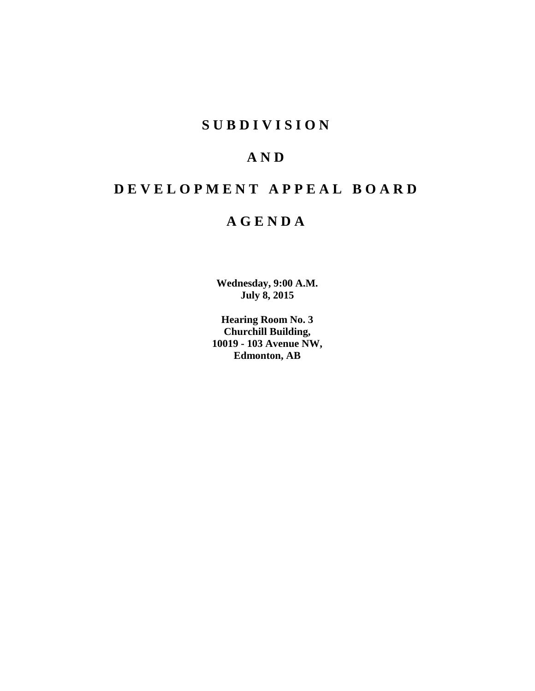# **S U B D I V I S I O N**

# **A N D**

# **D E V E L O P M E N T A P P E A L B O A R D**

# **A G E N D A**

**Wednesday, 9:00 A.M. July 8, 2015**

**Hearing Room No. 3 Churchill Building, 10019 - 103 Avenue NW, Edmonton, AB**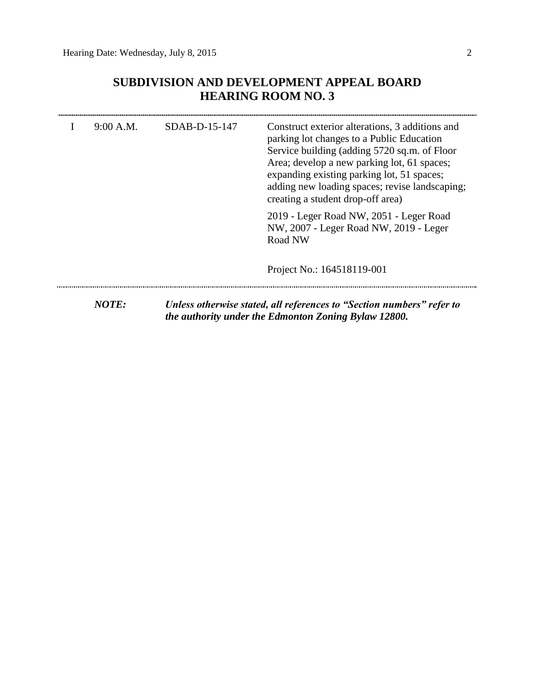## **SUBDIVISION AND DEVELOPMENT APPEAL BOARD HEARING ROOM NO. 3**

| 9:00 A.M.    | SDAB-D-15-147 | Construct exterior alterations, 3 additions and<br>parking lot changes to a Public Education<br>Service building (adding 5720 sq.m. of Floor<br>Area; develop a new parking lot, 61 spaces;<br>expanding existing parking lot, 51 spaces;<br>adding new loading spaces; revise landscaping;<br>creating a student drop-off area) |  |
|--------------|---------------|----------------------------------------------------------------------------------------------------------------------------------------------------------------------------------------------------------------------------------------------------------------------------------------------------------------------------------|--|
|              |               | 2019 - Leger Road NW, 2051 - Leger Road<br>NW, 2007 - Leger Road NW, 2019 - Leger<br>Road NW                                                                                                                                                                                                                                     |  |
|              |               | Project No.: 164518119-001                                                                                                                                                                                                                                                                                                       |  |
| <b>NOTE:</b> |               | Unless otherwise stated, all references to "Section numbers" refer to<br>the authority under the Edmonton Zoning Bylaw 12800.                                                                                                                                                                                                    |  |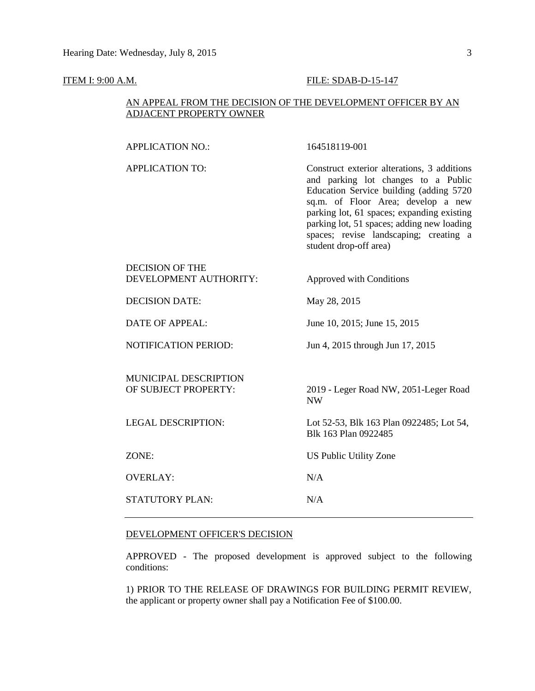#### **ITEM I: 9:00 A.M. FILE: SDAB-D-15-147**

#### AN APPEAL FROM THE DECISION OF THE DEVELOPMENT OFFICER BY AN ADJACENT PROPERTY OWNER

APPLICATION NO.: 164518119-001

| <b>APPLICATION TO:</b>                               | Construct exterior alterations, 3 additions<br>and parking lot changes to a Public<br>Education Service building (adding 5720<br>sq.m. of Floor Area; develop a new<br>parking lot, 61 spaces; expanding existing<br>parking lot, 51 spaces; adding new loading<br>spaces; revise landscaping; creating a<br>student drop-off area) |
|------------------------------------------------------|-------------------------------------------------------------------------------------------------------------------------------------------------------------------------------------------------------------------------------------------------------------------------------------------------------------------------------------|
| DECISION OF THE<br>DEVELOPMENT AUTHORITY:            | Approved with Conditions                                                                                                                                                                                                                                                                                                            |
| <b>DECISION DATE:</b>                                | May 28, 2015                                                                                                                                                                                                                                                                                                                        |
| <b>DATE OF APPEAL:</b>                               | June 10, 2015; June 15, 2015                                                                                                                                                                                                                                                                                                        |
| <b>NOTIFICATION PERIOD:</b>                          | Jun 4, 2015 through Jun 17, 2015                                                                                                                                                                                                                                                                                                    |
| <b>MUNICIPAL DESCRIPTION</b><br>OF SUBJECT PROPERTY: | 2019 - Leger Road NW, 2051-Leger Road<br><b>NW</b>                                                                                                                                                                                                                                                                                  |
| <b>LEGAL DESCRIPTION:</b>                            | Lot 52-53, Blk 163 Plan 0922485; Lot 54,<br>Blk 163 Plan 0922485                                                                                                                                                                                                                                                                    |
| ZONE:                                                | US Public Utility Zone                                                                                                                                                                                                                                                                                                              |
| <b>OVERLAY:</b>                                      | N/A                                                                                                                                                                                                                                                                                                                                 |
| <b>STATUTORY PLAN:</b>                               | N/A                                                                                                                                                                                                                                                                                                                                 |
|                                                      |                                                                                                                                                                                                                                                                                                                                     |

#### DEVELOPMENT OFFICER'S DECISION

APPROVED - The proposed development is approved subject to the following conditions:

1) PRIOR TO THE RELEASE OF DRAWINGS FOR BUILDING PERMIT REVIEW, the applicant or property owner shall pay a Notification Fee of \$100.00.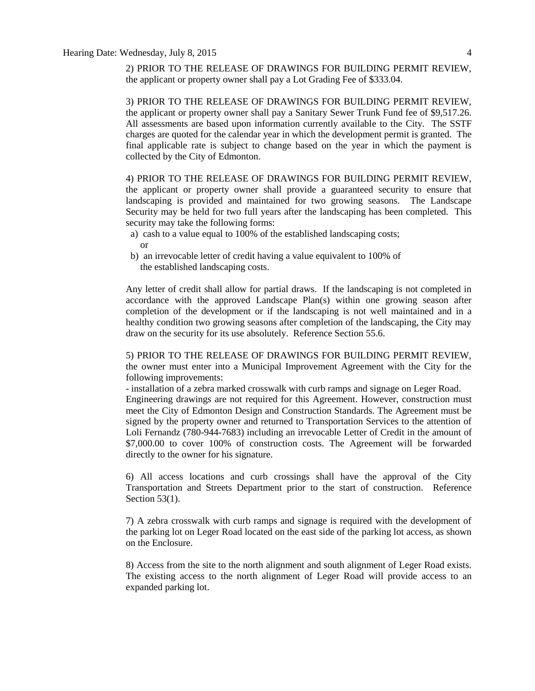2) PRIOR TO THE RELEASE OF DRAWINGS FOR BUILDING PERMIT REVIEW, the applicant or property owner shall pay a Lot Grading Fee of \$333.04.

3) PRIOR TO THE RELEASE OF DRAWINGS FOR BUILDING PERMIT REVIEW, the applicant or property owner shall pay a Sanitary Sewer Trunk Fund fee of \$9,517.26. All assessments are based upon information currently available to the City. The SSTF charges are quoted for the calendar year in which the development permit is granted. The final applicable rate is subject to change based on the year in which the payment is collected by the City of Edmonton.

4) PRIOR TO THE RELEASE OF DRAWINGS FOR BUILDING PERMIT REVIEW, the applicant or property owner shall provide a guaranteed security to ensure that landscaping is provided and maintained for two growing seasons. The Landscape Security may be held for two full years after the landscaping has been completed. This security may take the following forms:

- a) cash to a value equal to 100% of the established landscaping costs; or
- b) an irrevocable letter of credit having a value equivalent to 100% of the established landscaping costs.

Any letter of credit shall allow for partial draws. If the landscaping is not completed in accordance with the approved Landscape Plan(s) within one growing season after completion of the development or if the landscaping is not well maintained and in a healthy condition two growing seasons after completion of the landscaping, the City may draw on the security for its use absolutely. Reference Section 55.6.

5) PRIOR TO THE RELEASE OF DRAWINGS FOR BUILDING PERMIT REVIEW, the owner must enter into a Municipal Improvement Agreement with the City for the following improvements:

- installation of a zebra marked crosswalk with curb ramps and signage on Leger Road. Engineering drawings are not required for this Agreement. However, construction must meet the City of Edmonton Design and Construction Standards. The Agreement must be signed by the property owner and returned to Transportation Services to the attention of Loli Fernandz (780-944-7683) including an irrevocable Letter of Credit in the amount of \$7,000.00 to cover 100% of construction costs. The Agreement will be forwarded directly to the owner for his signature.

6) All access locations and curb crossings shall have the approval of the City Transportation and Streets Department prior to the start of construction. Reference Section 53(1).

7) A zebra crosswalk with curb ramps and signage is required with the development of the parking lot on Leger Road located on the east side of the parking lot access, as shown on the Enclosure.

8) Access from the site to the north alignment and south alignment of Leger Road exists. The existing access to the north alignment of Leger Road will provide access to an expanded parking lot.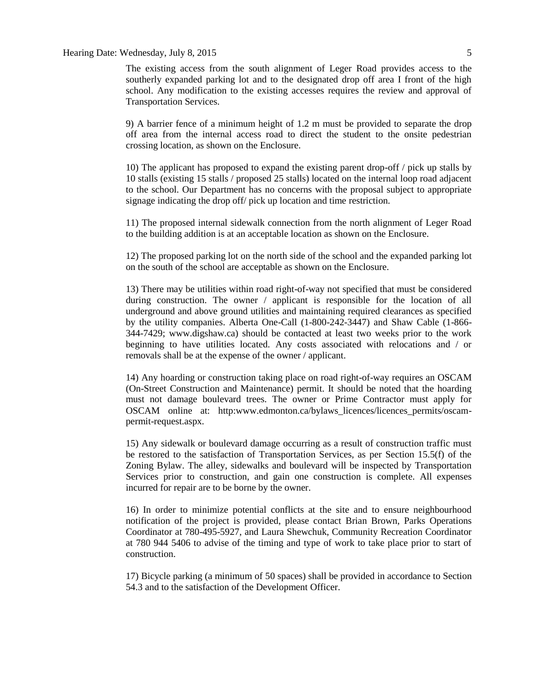#### Hearing Date: Wednesday, July 8, 2015 5

The existing access from the south alignment of Leger Road provides access to the southerly expanded parking lot and to the designated drop off area I front of the high school. Any modification to the existing accesses requires the review and approval of Transportation Services.

9) A barrier fence of a minimum height of 1.2 m must be provided to separate the drop off area from the internal access road to direct the student to the onsite pedestrian crossing location, as shown on the Enclosure.

10) The applicant has proposed to expand the existing parent drop-off / pick up stalls by 10 stalls (existing 15 stalls / proposed 25 stalls) located on the internal loop road adjacent to the school. Our Department has no concerns with the proposal subject to appropriate signage indicating the drop off/ pick up location and time restriction.

11) The proposed internal sidewalk connection from the north alignment of Leger Road to the building addition is at an acceptable location as shown on the Enclosure.

12) The proposed parking lot on the north side of the school and the expanded parking lot on the south of the school are acceptable as shown on the Enclosure.

13) There may be utilities within road right-of-way not specified that must be considered during construction. The owner / applicant is responsible for the location of all underground and above ground utilities and maintaining required clearances as specified by the utility companies. Alberta One-Call (1-800-242-3447) and Shaw Cable (1-866- 344-7429; www.digshaw.ca) should be contacted at least two weeks prior to the work beginning to have utilities located. Any costs associated with relocations and / or removals shall be at the expense of the owner / applicant.

14) Any hoarding or construction taking place on road right-of-way requires an OSCAM (On-Street Construction and Maintenance) permit. It should be noted that the hoarding must not damage boulevard trees. The owner or Prime Contractor must apply for OSCAM online at: http:www.edmonton.ca/bylaws\_licences/licences\_permits/oscampermit-request.aspx.

15) Any sidewalk or boulevard damage occurring as a result of construction traffic must be restored to the satisfaction of Transportation Services, as per Section 15.5(f) of the Zoning Bylaw. The alley, sidewalks and boulevard will be inspected by Transportation Services prior to construction, and gain one construction is complete. All expenses incurred for repair are to be borne by the owner.

16) In order to minimize potential conflicts at the site and to ensure neighbourhood notification of the project is provided, please contact Brian Brown, Parks Operations Coordinator at 780-495-5927, and Laura Shewchuk, Community Recreation Coordinator at 780 944 5406 to advise of the timing and type of work to take place prior to start of construction.

17) Bicycle parking (a minimum of 50 spaces) shall be provided in accordance to Section 54.3 and to the satisfaction of the Development Officer.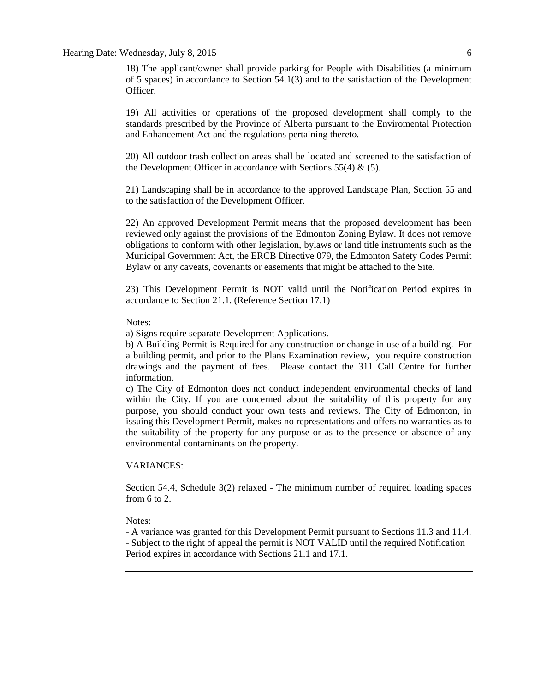18) The applicant/owner shall provide parking for People with Disabilities (a minimum of 5 spaces) in accordance to Section 54.1(3) and to the satisfaction of the Development Officer.

19) All activities or operations of the proposed development shall comply to the standards prescribed by the Province of Alberta pursuant to the Enviromental Protection and Enhancement Act and the regulations pertaining thereto.

20) All outdoor trash collection areas shall be located and screened to the satisfaction of the Development Officer in accordance with Sections 55(4)  $\&$  (5).

21) Landscaping shall be in accordance to the approved Landscape Plan, Section 55 and to the satisfaction of the Development Officer.

22) An approved Development Permit means that the proposed development has been reviewed only against the provisions of the Edmonton Zoning Bylaw. It does not remove obligations to conform with other legislation, bylaws or land title instruments such as the Municipal Government Act, the ERCB Directive 079, the Edmonton Safety Codes Permit Bylaw or any caveats, covenants or easements that might be attached to the Site.

23) This Development Permit is NOT valid until the Notification Period expires in accordance to Section 21.1. (Reference Section 17.1)

Notes:

a) Signs require separate Development Applications.

b) A Building Permit is Required for any construction or change in use of a building. For a building permit, and prior to the Plans Examination review, you require construction drawings and the payment of fees. Please contact the 311 Call Centre for further information.

c) The City of Edmonton does not conduct independent environmental checks of land within the City. If you are concerned about the suitability of this property for any purpose, you should conduct your own tests and reviews. The City of Edmonton, in issuing this Development Permit, makes no representations and offers no warranties as to the suitability of the property for any purpose or as to the presence or absence of any environmental contaminants on the property.

#### VARIANCES:

Section 54.4, Schedule 3(2) relaxed - The minimum number of required loading spaces from 6 to 2.

Notes:

- A variance was granted for this Development Permit pursuant to Sections 11.3 and 11.4.

- Subject to the right of appeal the permit is NOT VALID until the required Notification Period expires in accordance with Sections 21.1 and 17.1.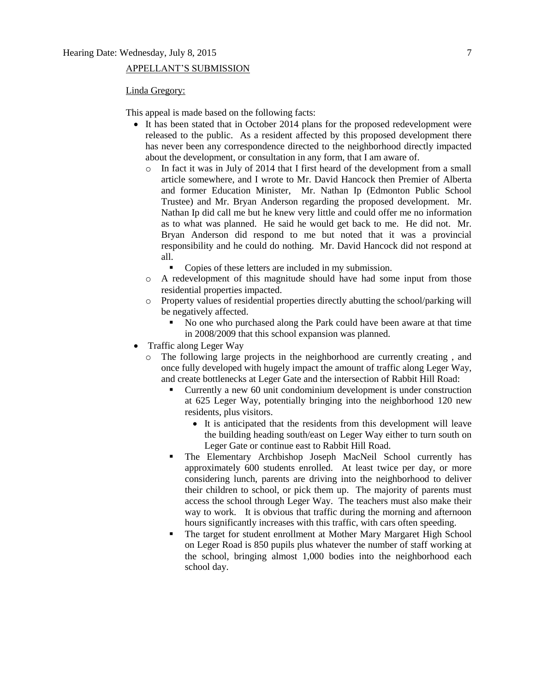#### APPELLANT'S SUBMISSION

#### Linda Gregory:

This appeal is made based on the following facts:

- It has been stated that in October 2014 plans for the proposed redevelopment were released to the public. As a resident affected by this proposed development there has never been any correspondence directed to the neighborhood directly impacted about the development, or consultation in any form, that I am aware of.
	- o In fact it was in July of 2014 that I first heard of the development from a small article somewhere, and I wrote to Mr. David Hancock then Premier of Alberta and former Education Minister, Mr. Nathan Ip (Edmonton Public School Trustee) and Mr. Bryan Anderson regarding the proposed development. Mr. Nathan Ip did call me but he knew very little and could offer me no information as to what was planned. He said he would get back to me. He did not. Mr. Bryan Anderson did respond to me but noted that it was a provincial responsibility and he could do nothing. Mr. David Hancock did not respond at all.
		- Copies of these letters are included in my submission.
	- o A redevelopment of this magnitude should have had some input from those residential properties impacted.
	- o Property values of residential properties directly abutting the school/parking will be negatively affected.
		- No one who purchased along the Park could have been aware at that time in 2008/2009 that this school expansion was planned.
- Traffic along Leger Way
	- o The following large projects in the neighborhood are currently creating , and once fully developed with hugely impact the amount of traffic along Leger Way, and create bottlenecks at Leger Gate and the intersection of Rabbit Hill Road:
		- Currently a new 60 unit condominium development is under construction at 625 Leger Way, potentially bringing into the neighborhood 120 new residents, plus visitors.
			- It is anticipated that the residents from this development will leave the building heading south/east on Leger Way either to turn south on Leger Gate or continue east to Rabbit Hill Road.
		- The Elementary Archbishop Joseph MacNeil School currently has approximately 600 students enrolled. At least twice per day, or more considering lunch, parents are driving into the neighborhood to deliver their children to school, or pick them up. The majority of parents must access the school through Leger Way. The teachers must also make their way to work. It is obvious that traffic during the morning and afternoon hours significantly increases with this traffic, with cars often speeding.
		- The target for student enrollment at Mother Mary Margaret High School on Leger Road is 850 pupils plus whatever the number of staff working at the school, bringing almost 1,000 bodies into the neighborhood each school day.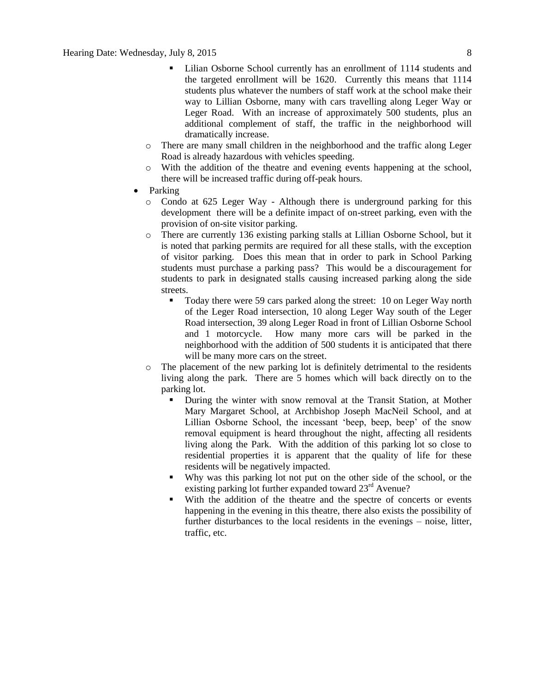- Lilian Osborne School currently has an enrollment of 1114 students and the targeted enrollment will be 1620. Currently this means that 1114 students plus whatever the numbers of staff work at the school make their way to Lillian Osborne, many with cars travelling along Leger Way or Leger Road. With an increase of approximately 500 students, plus an additional complement of staff, the traffic in the neighborhood will dramatically increase.
- o There are many small children in the neighborhood and the traffic along Leger Road is already hazardous with vehicles speeding.
- o With the addition of the theatre and evening events happening at the school, there will be increased traffic during off-peak hours.
- Parking
	- o Condo at 625 Leger Way Although there is underground parking for this development there will be a definite impact of on-street parking, even with the provision of on-site visitor parking.
	- o There are currently 136 existing parking stalls at Lillian Osborne School, but it is noted that parking permits are required for all these stalls, with the exception of visitor parking. Does this mean that in order to park in School Parking students must purchase a parking pass? This would be a discouragement for students to park in designated stalls causing increased parking along the side streets.
		- Today there were 59 cars parked along the street: 10 on Leger Way north of the Leger Road intersection, 10 along Leger Way south of the Leger Road intersection, 39 along Leger Road in front of Lillian Osborne School and 1 motorcycle. How many more cars will be parked in the neighborhood with the addition of 500 students it is anticipated that there will be many more cars on the street.
	- o The placement of the new parking lot is definitely detrimental to the residents living along the park. There are 5 homes which will back directly on to the parking lot.
		- During the winter with snow removal at the Transit Station, at Mother Mary Margaret School, at Archbishop Joseph MacNeil School, and at Lillian Osborne School, the incessant 'beep, beep, beep' of the snow removal equipment is heard throughout the night, affecting all residents living along the Park. With the addition of this parking lot so close to residential properties it is apparent that the quality of life for these residents will be negatively impacted.
		- Why was this parking lot not put on the other side of the school, or the existing parking lot further expanded toward  $23<sup>rd</sup>$  Avenue?
		- With the addition of the theatre and the spectre of concerts or events happening in the evening in this theatre, there also exists the possibility of further disturbances to the local residents in the evenings – noise, litter, traffic, etc.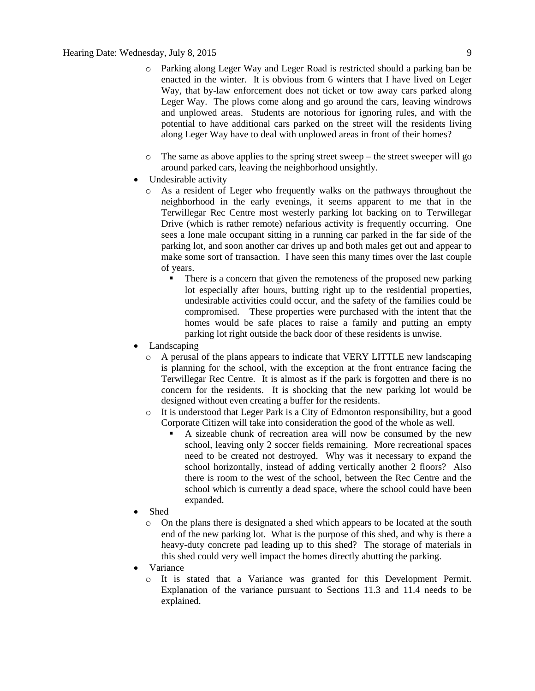- o Parking along Leger Way and Leger Road is restricted should a parking ban be enacted in the winter. It is obvious from 6 winters that I have lived on Leger Way, that by-law enforcement does not ticket or tow away cars parked along Leger Way. The plows come along and go around the cars, leaving windrows and unplowed areas. Students are notorious for ignoring rules, and with the potential to have additional cars parked on the street will the residents living along Leger Way have to deal with unplowed areas in front of their homes?
- $\circ$  The same as above applies to the spring street sweep the street sweeper will go around parked cars, leaving the neighborhood unsightly.
- Undesirable activity
	- o As a resident of Leger who frequently walks on the pathways throughout the neighborhood in the early evenings, it seems apparent to me that in the Terwillegar Rec Centre most westerly parking lot backing on to Terwillegar Drive (which is rather remote) nefarious activity is frequently occurring. One sees a lone male occupant sitting in a running car parked in the far side of the parking lot, and soon another car drives up and both males get out and appear to make some sort of transaction. I have seen this many times over the last couple of years.
		- There is a concern that given the remoteness of the proposed new parking lot especially after hours, butting right up to the residential properties, undesirable activities could occur, and the safety of the families could be compromised. These properties were purchased with the intent that the homes would be safe places to raise a family and putting an empty parking lot right outside the back door of these residents is unwise.
- Landscaping
	- o A perusal of the plans appears to indicate that VERY LITTLE new landscaping is planning for the school, with the exception at the front entrance facing the Terwillegar Rec Centre. It is almost as if the park is forgotten and there is no concern for the residents. It is shocking that the new parking lot would be designed without even creating a buffer for the residents.
	- $\circ$  It is understood that Leger Park is a City of Edmonton responsibility, but a good Corporate Citizen will take into consideration the good of the whole as well.
		- A sizeable chunk of recreation area will now be consumed by the new school, leaving only 2 soccer fields remaining. More recreational spaces need to be created not destroyed. Why was it necessary to expand the school horizontally, instead of adding vertically another 2 floors? Also there is room to the west of the school, between the Rec Centre and the school which is currently a dead space, where the school could have been expanded.
- Shed
	- o On the plans there is designated a shed which appears to be located at the south end of the new parking lot. What is the purpose of this shed, and why is there a heavy-duty concrete pad leading up to this shed? The storage of materials in this shed could very well impact the homes directly abutting the parking.
- Variance
	- o It is stated that a Variance was granted for this Development Permit. Explanation of the variance pursuant to Sections 11.3 and 11.4 needs to be explained.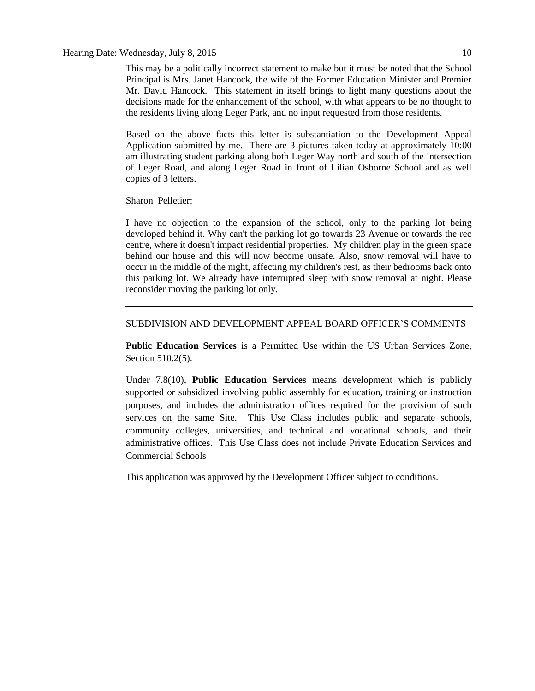#### Hearing Date: Wednesday, July 8, 2015 10

This may be a politically incorrect statement to make but it must be noted that the School Principal is Mrs. Janet Hancock, the wife of the Former Education Minister and Premier Mr. David Hancock. This statement in itself brings to light many questions about the decisions made for the enhancement of the school, with what appears to be no thought to the residents living along Leger Park, and no input requested from those residents.

Based on the above facts this letter is substantiation to the Development Appeal Application submitted by me. There are 3 pictures taken today at approximately 10:00 am illustrating student parking along both Leger Way north and south of the intersection of Leger Road, and along Leger Road in front of Lilian Osborne School and as well copies of 3 letters.

#### Sharon Pelletier:

I have no objection to the expansion of the school, only to the parking lot being developed behind it. Why can't the parking lot go towards 23 Avenue or towards the rec centre, where it doesn't impact residential properties. My children play in the green space behind our house and this will now become unsafe. Also, snow removal will have to occur in the middle of the night, affecting my children's rest, as their bedrooms back onto this parking lot. We already have interrupted sleep with snow removal at night. Please reconsider moving the parking lot only.

#### SUBDIVISION AND DEVELOPMENT APPEAL BOARD OFFICER'S COMMENTS

**Public Education Services** is a Permitted Use within the US Urban Services Zone, Section 510.2(5).

Under 7.8(10), **Public Education Services** means development which is publicly supported or subsidized involving public assembly for education, training or instruction purposes, and includes the administration offices required for the provision of such services on the same Site. This Use Class includes public and separate schools, community colleges, universities, and technical and vocational schools, and their administrative offices. This Use Class does not include Private Education Services and Commercial Schools

This application was approved by the Development Officer subject to conditions.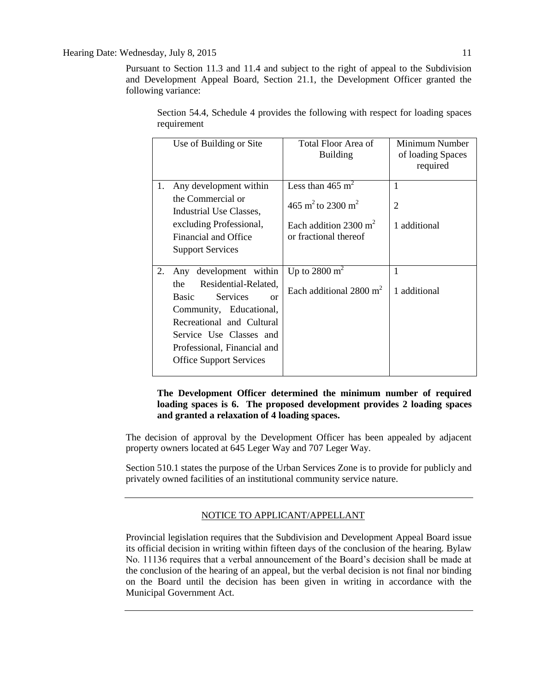Pursuant to Section 11.3 and 11.4 and subject to the right of appeal to the Subdivision and Development Appeal Board, Section 21.1, the Development Officer granted the following variance:

|    | Use of Building or Site                                             | <b>Total Floor Area of</b><br><b>Building</b> | Minimum Number<br>of loading Spaces<br>required |
|----|---------------------------------------------------------------------|-----------------------------------------------|-------------------------------------------------|
| 1. | Any development within                                              | Less than 465 $m2$                            | 1                                               |
|    | the Commercial or<br>Industrial Use Classes,                        | 465 m <sup>2</sup> to 2300 m <sup>2</sup>     | 2                                               |
|    | excluding Professional,                                             | Each addition 2300 $m2$                       | 1 additional                                    |
|    | Financial and Office                                                | or fractional thereof                         |                                                 |
|    | <b>Support Services</b>                                             |                                               |                                                 |
|    |                                                                     |                                               |                                                 |
| 2. | development within<br>Any                                           | Up to 2800 $m2$                               | 1                                               |
|    | Residential-Related,<br>the<br><b>Services</b><br>Basic<br>$\alpha$ | Each additional $2800 \text{ m}^2$            | 1 additional                                    |
|    | Community, Educational,                                             |                                               |                                                 |
|    | Recreational and Cultural                                           |                                               |                                                 |
|    | Service Use Classes and                                             |                                               |                                                 |
|    | Professional, Financial and                                         |                                               |                                                 |
|    | <b>Office Support Services</b>                                      |                                               |                                                 |
|    |                                                                     |                                               |                                                 |

Section 54.4, Schedule 4 provides the following with respect for loading spaces requirement

#### **The Development Officer determined the minimum number of required loading spaces is 6. The proposed development provides 2 loading spaces and granted a relaxation of 4 loading spaces.**

The decision of approval by the Development Officer has been appealed by adjacent property owners located at 645 Leger Way and 707 Leger Way.

Section 510.1 states the purpose of the Urban Services Zone is to provide for publicly and privately owned facilities of an institutional community service nature.

### NOTICE TO APPLICANT/APPELLANT

Provincial legislation requires that the Subdivision and Development Appeal Board issue its official decision in writing within fifteen days of the conclusion of the hearing. Bylaw No. 11136 requires that a verbal announcement of the Board's decision shall be made at the conclusion of the hearing of an appeal, but the verbal decision is not final nor binding on the Board until the decision has been given in writing in accordance with the Municipal Government Act.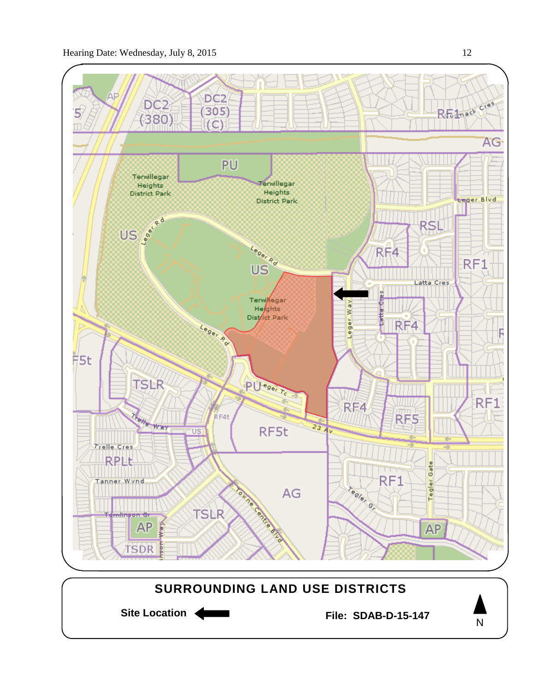

Site Location **General Example 2** File: SDAB-D-15-147 **SURROUNDING LAND USE DISTRICTS** N